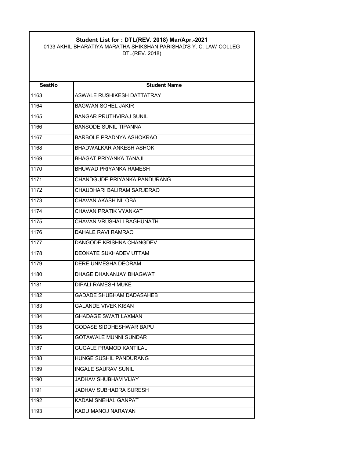## **Student List for : DTL(REV. 2018) Mar/Apr.-2021**

0133 AKHIL BHARATIYA MARATHA SHIKSHAN PARISHAD'S Y. C. LAW COLLEG DTL(REV. 2018)

| <b>SeatNo</b>     | <b>Student Name</b>               |
|-------------------|-----------------------------------|
| 1163              | <b>ASWALE RUSHIKESH DATTATRAY</b> |
| 1164              | <b>BAGWAN SOHFI JAKIR</b>         |
| 1165              | <b>BANGAR PRUTHVIRAJ SUNIL</b>    |
| 1166              | <b>BANSODE SUNIL TIPANNA</b>      |
| 1167              | BARBOLE PRADNYA ASHOKRAO          |
| 1168              | BHADWALKAR ANKESH ASHOK           |
| 1169              | <b>BHAGAT PRIYANKA TANAJI</b>     |
| 1170              | BHUWAD PRIYANKA RAMESH            |
| $\overline{11}71$ | CHANDGUDE PRIYANKA PANDURANG      |
| 1172              | CHAUDHARI BALIRAM SARJERAO        |
| 1173              | CHAVAN AKASH NILOBA               |
| 1174              | CHAVAN PRATIK VYANKAT             |
| 1175              | CHAVAN VRUSHALI RAGHUNATH         |
| 1176              | DAHALE RAVI RAMRAO                |
| 1177              | DANGODE KRISHNA CHANGDEV          |
| 1178              | <b>DEOKATE SUKHADEV UTTAM</b>     |
| 1179              | <b>DERE UNMESHA DEORAM</b>        |
| 1180              | DHAGE DHANANJAY BHAGWAT           |
| 1181              | <b>DIPALI RAMESH MUKE</b>         |
| 1182              | <b>GADADE SHUBHAM DADASAHEB</b>   |
| 1183              | <b>GAI ANDE VIVEK KISAN</b>       |
| 1184              | <b>GHADAGE SWATI LAXMAN</b>       |
| 1185              | <b>GODASE SIDDHESHWAR BAPU</b>    |
| 1186              | <b>GOTAWALE MUNNI SUNDAR</b>      |
| 1187              | <b>GUGALE PRAMOD KANTILAL</b>     |
| 1188              | HUNGE SUSHIL PANDURANG            |
| 1189              | <b>INGALE SAURAV SUNIL</b>        |
| 1190              | JADHAV SHUBHAM VIJAY              |
| 1191              | <b>JADHAV SUBHADRA SURESH</b>     |
| 1192              | <b>KADAM SNEHAL GANPAT</b>        |
| 1193              | KADU MANOJ NARAYAN                |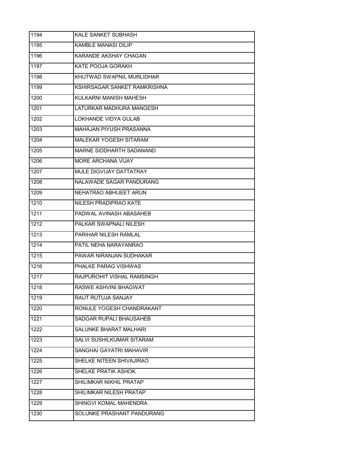| 1194 | <b>KALE SANKET SUBHASH</b>     |
|------|--------------------------------|
| 1195 | <b>KAMBLE MANASI DILIP</b>     |
| 1196 | KARANDE AKSHAY CHAGAN          |
| 1197 | KATE POOJA GORAKH              |
| 1198 | KHUTWAD SWAPNIL MURLIDHAR      |
| 1199 | KSHIRSAGAR SANKET RAMKRISHNA   |
| 1200 | KULKARNI MANISH MAHESH         |
| 1201 | LATURKAR MADHURA MANGESH       |
| 1202 | <b>LOKHANDE VIDYA GULAB</b>    |
| 1203 | <b>MAHAJAN PIYUSH PRASANNA</b> |
| 1204 | MALEKAR YOGESH SITARAM         |
| 1205 | MARNE SIDDHARTH SADANAND       |
| 1206 | MORE ARCHANA VIJAY             |
| 1207 | MULE DIGVIJAY DATTATRAY        |
| 1208 | NALAWADE SAGAR PANDURANG       |
| 1209 | NEHATRAO ABHIJEET ARUN         |
| 1210 | NILESH PRADIPRAO KATE          |
| 1211 | PADWAL AVINASH ABASAHEB        |
| 1212 | PALKAR SWAPNALI NILESH         |
| 1213 | PARIHAR NILESH RAMLAL          |
| 1214 | PATIL NEHA NARAYANRAO          |
| 1215 | PAWAR NIRANJAN SUDHAKAR        |
| 1216 | PHALKE PARAG VISHWAS           |
| 1217 | RAJPUROHIT VISHAL RAMSINGH     |
| 1218 | <b>RASWE ASHVINI BHAGWAT</b>   |
| 1219 | RAUT RUTUJA SANJAY             |
| 1220 | RONULE YOGESH CHANDRAKANT      |
| 1221 | SADGAR RUPALI BHAUSAHEB        |
| 1222 | SALUNKE BHARAT MALHARI         |
| 1223 | SALVI SUSHILKUMAR SITARAM      |
| 1224 | SANGHAI GAYATRI MAHAVIR        |
| 1225 | SHELKE NITEEN SHIVAJIRAO       |
| 1226 | SHELKE PRATIK ASHOK            |
| 1227 | SHILIMKAR NIKHIL PRATAP        |
| 1228 | SHILIMKAR NILESH PRATAP        |
| 1229 | SHINGVI KOMAL MAHENDRA         |
| 1230 | SOLUNKE PRASHANT PANDURANG     |
|      |                                |